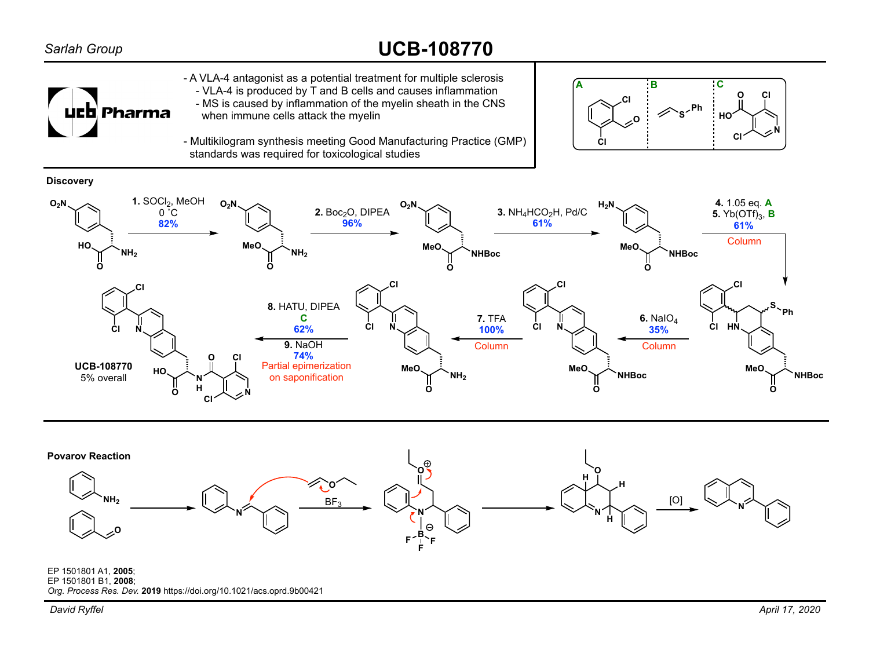## *Sarlah Group*

## **UCB-108770**



- A VLA-4 antagonist as a potential treatment for multiple sclerosis - VLA-4 is produced by T and B cells and causes inflammation
- MS is caused by inflammation of the myelin sheath in the CNS when immune cells attack the myelin



- Multikilogram synthesis meeting Good Manufacturing Practice (GMP) standards was required for toxicological studies







EP 1501801 A1, **2005**; EP 1501801 B1, **2008**; *Org. Process Res. Dev.* **2019** https://doi.org/10.1021/acs.oprd.9b00421